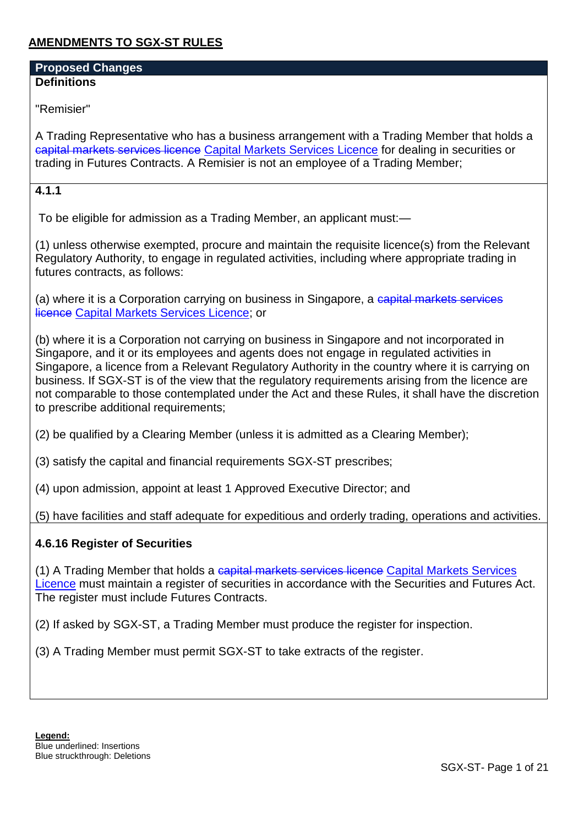# **AMENDMENTS TO SGX-ST RULES**

#### **Proposed Changes Definitions**

"Remisier"

A Trading Representative who has a business arrangement with a Trading Member that holds a capital markets services licence Capital Markets Services Licence for dealing in securities or trading in Futures Contracts. A Remisier is not an employee of a Trading Member;

### **4.1.1**

To be eligible for admission as a Trading Member, an applicant must:—

(1) unless otherwise exempted, procure and maintain the requisite licence(s) from the Relevant Regulatory Authority, to engage in regulated activities, including where appropriate trading in futures contracts, as follows:

(a) where it is a Corporation carrying on business in Singapore, a capital markets services licence Capital Markets Services Licence; or

(b) where it is a Corporation not carrying on business in Singapore and not incorporated in Singapore, and it or its employees and agents does not engage in regulated activities in Singapore, a licence from a Relevant Regulatory Authority in the country where it is carrying on business. If SGX-ST is of the view that the regulatory requirements arising from the licence are not comparable to those contemplated under the Act and these Rules, it shall have the discretion to prescribe additional requirements;

(2) be qualified by a Clearing Member (unless it is admitted as a Clearing Member);

(3) satisfy the capital and financial requirements SGX-ST prescribes;

(4) upon admission, appoint at least 1 Approved Executive Director; and

(5) have facilities and staff adequate for expeditious and orderly trading, operations and activities.

#### **4.6.16 Register of Securities**

(1) A Trading Member that holds a capital markets services licence Capital Markets Services Licence must maintain a register of securities in accordance with the Securities and Futures Act. The register must include Futures Contracts.

(2) If asked by SGX-ST, a Trading Member must produce the register for inspection.

(3) A Trading Member must permit SGX-ST to take extracts of the register.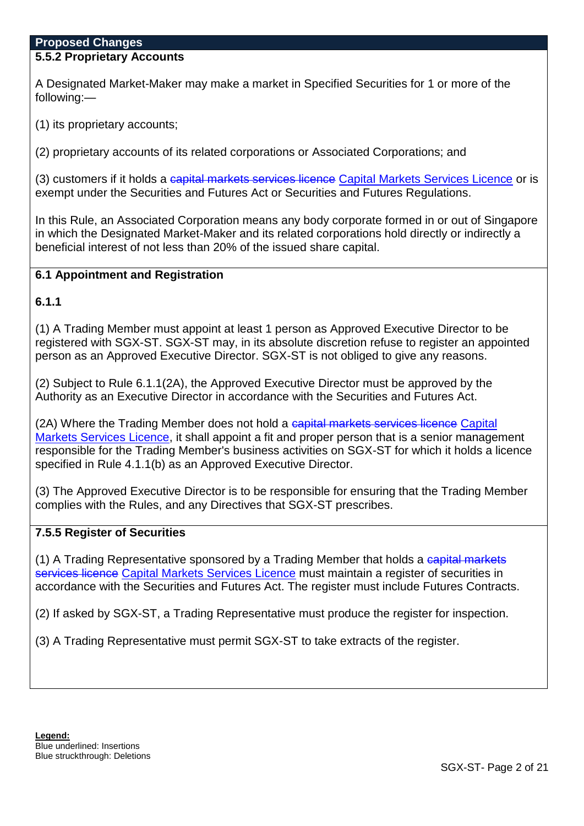#### **5.5.2 Proprietary Accounts**

A Designated Market-Maker may make a market in Specified Securities for 1 or more of the following:—

(1) its proprietary accounts;

(2) proprietary accounts of its related corporations or Associated Corporations; and

(3) customers if it holds a capital markets services licence Capital Markets Services Licence or is exempt under the Securities and Futures Act or Securities and Futures Regulations.

In this Rule, an Associated Corporation means any body corporate formed in or out of Singapore in which the Designated Market-Maker and its related corporations hold directly or indirectly a beneficial interest of not less than 20% of the issued share capital.

#### **6.1 Appointment and Registration**

**6.1.1**

(1) A Trading Member must appoint at least 1 person as Approved Executive Director to be registered with SGX-ST. SGX-ST may, in its absolute discretion refuse to register an appointed person as an Approved Executive Director. SGX-ST is not obliged to give any reasons.

(2) Subject to Rule 6.1.1(2A), the Approved Executive Director must be approved by the Authority as an Executive Director in accordance with the Securities and Futures Act.

(2A) Where the Trading Member does not hold a capital markets services licence Capital Markets Services Licence, it shall appoint a fit and proper person that is a senior management responsible for the Trading Member's business activities on SGX-ST for which it holds a licence specified in Rule 4.1.1(b) as an Approved Executive Director.

(3) The Approved Executive Director is to be responsible for ensuring that the Trading Member complies with the Rules, and any Directives that SGX-ST prescribes.

### **7.5.5 Register of Securities**

(1) A Trading Representative sponsored by a Trading Member that holds a capital markets services licence Capital Markets Services Licence must maintain a register of securities in accordance with the Securities and Futures Act. The register must include Futures Contracts.

(2) If asked by SGX-ST, a Trading Representative must produce the register for inspection.

(3) A Trading Representative must permit SGX-ST to take extracts of the register.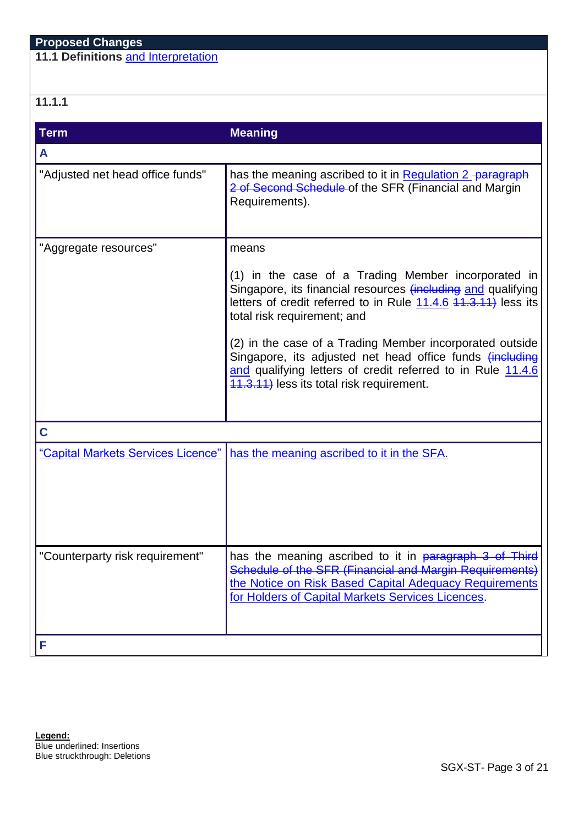**11.1 Definitions** and Interpretation

# **11.1.1**

| <b>Term</b>                        | <b>Meaning</b>                                                                                                                                                                                                                   |
|------------------------------------|----------------------------------------------------------------------------------------------------------------------------------------------------------------------------------------------------------------------------------|
| A                                  |                                                                                                                                                                                                                                  |
| "Adjusted net head office funds"   | has the meaning ascribed to it in Regulation 2 paragraph<br>2 of Second Schedule of the SFR (Financial and Margin<br>Requirements).                                                                                              |
| "Aggregate resources"              | means                                                                                                                                                                                                                            |
|                                    | (1) in the case of a Trading Member incorporated in<br>Singapore, its financial resources (including and qualifying<br>letters of credit referred to in Rule 11.4.6 44.3.44) less its<br>total risk requirement; and             |
|                                    | (2) in the case of a Trading Member incorporated outside<br>Singapore, its adjusted net head office funds (including<br>and qualifying letters of credit referred to in Rule 11.4.6<br>11.3.11) less its total risk requirement. |
| C                                  |                                                                                                                                                                                                                                  |
| "Capital Markets Services Licence" | has the meaning ascribed to it in the SFA.                                                                                                                                                                                       |
| "Counterparty risk requirement"    | has the meaning ascribed to it in paragraph 3 of Third<br>Schedule of the SFR (Financial and Margin Requirements)<br>the Notice on Risk Based Capital Adequacy Requirements<br>for Holders of Capital Markets Services Licences. |
| F                                  |                                                                                                                                                                                                                                  |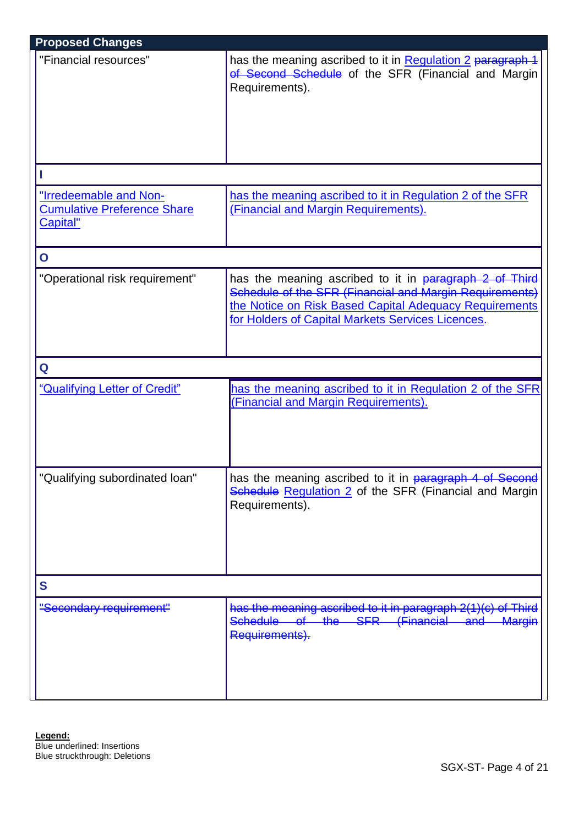| <b>Proposed Changes</b>                                                  |                                                                                                                                                                                                                                  |
|--------------------------------------------------------------------------|----------------------------------------------------------------------------------------------------------------------------------------------------------------------------------------------------------------------------------|
| "Financial resources"                                                    | has the meaning ascribed to it in Regulation 2 paragraph 1<br>of Second Schedule of the SFR (Financial and Margin)<br>Requirements).                                                                                             |
|                                                                          |                                                                                                                                                                                                                                  |
| "Irredeemable and Non-<br><b>Cumulative Preference Share</b><br>Capital" | has the meaning ascribed to it in Regulation 2 of the SFR<br>(Financial and Margin Requirements).                                                                                                                                |
| $\mathbf O$                                                              |                                                                                                                                                                                                                                  |
| "Operational risk requirement"                                           | has the meaning ascribed to it in paragraph 2 of Third<br>Schedule of the SFR (Financial and Margin Requirements)<br>the Notice on Risk Based Capital Adequacy Requirements<br>for Holders of Capital Markets Services Licences. |
| Q                                                                        |                                                                                                                                                                                                                                  |
| "Qualifying Letter of Credit"                                            | has the meaning ascribed to it in Regulation 2 of the SFR<br>(Financial and Margin Requirements).                                                                                                                                |
| "Qualifying subordinated loan"                                           | has the meaning ascribed to it in paragraph 4 of Second<br>Schedule Regulation 2 of the SFR (Financial and Margin)<br>Requirements).                                                                                             |
| S                                                                        |                                                                                                                                                                                                                                  |
| "Secondary requirement"                                                  | has the meaning ascribed to it in paragraph 2(1)(c) of Third<br>Schedule of the SFR (Financial and<br><b>Margin</b><br>Requirements).                                                                                            |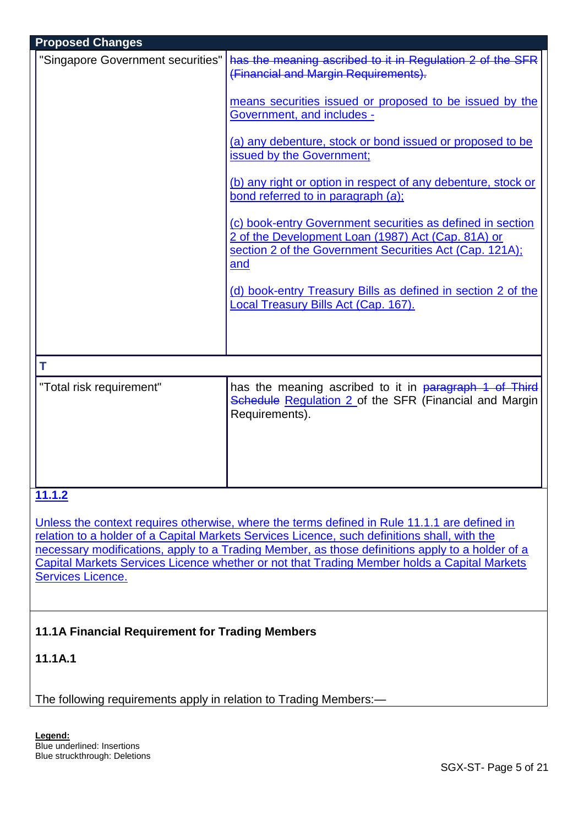| <b>Proposed Changes</b>           |                                                                                                                                                                                    |  |  |  |  |  |
|-----------------------------------|------------------------------------------------------------------------------------------------------------------------------------------------------------------------------------|--|--|--|--|--|
| "Singapore Government securities" | has the meaning ascribed to it in Regulation 2 of the SFR<br>(Financial and Margin Requirements).                                                                                  |  |  |  |  |  |
|                                   | means securities issued or proposed to be issued by the<br>Government, and includes -                                                                                              |  |  |  |  |  |
|                                   | (a) any debenture, stock or bond issued or proposed to be<br>issued by the Government;                                                                                             |  |  |  |  |  |
|                                   | (b) any right or option in respect of any debenture, stock or<br>bond referred to in paragraph (a);                                                                                |  |  |  |  |  |
|                                   | (c) book-entry Government securities as defined in section<br>2 of the Development Loan (1987) Act (Cap. 81A) or<br>section 2 of the Government Securities Act (Cap. 121A);<br>and |  |  |  |  |  |
|                                   | (d) book-entry Treasury Bills as defined in section 2 of the<br>Local Treasury Bills Act (Cap. 167).                                                                               |  |  |  |  |  |
|                                   |                                                                                                                                                                                    |  |  |  |  |  |
| T                                 |                                                                                                                                                                                    |  |  |  |  |  |
| "Total risk requirement"          | has the meaning ascribed to it in paragraph 1 of Third<br>Schedule Regulation 2 of the SFR (Financial and Margin<br>Requirements).                                                 |  |  |  |  |  |
|                                   |                                                                                                                                                                                    |  |  |  |  |  |
| 11.1.2                            |                                                                                                                                                                                    |  |  |  |  |  |
|                                   | Unless the context requires otherwise, where the terms defined in Rule 11.1.1 are defined in                                                                                       |  |  |  |  |  |
|                                   |                                                                                                                                                                                    |  |  |  |  |  |

relation to a holder of a Capital Markets Services Licence, such definitions shall, with the necessary modifications, apply to a Trading Member, as those definitions apply to a holder of a Capital Markets Services Licence whether or not that Trading Member holds a Capital Markets Services Licence.

# **11.1A Financial Requirement for Trading Members**

# **11.1A.1**

The following requirements apply in relation to Trading Members:—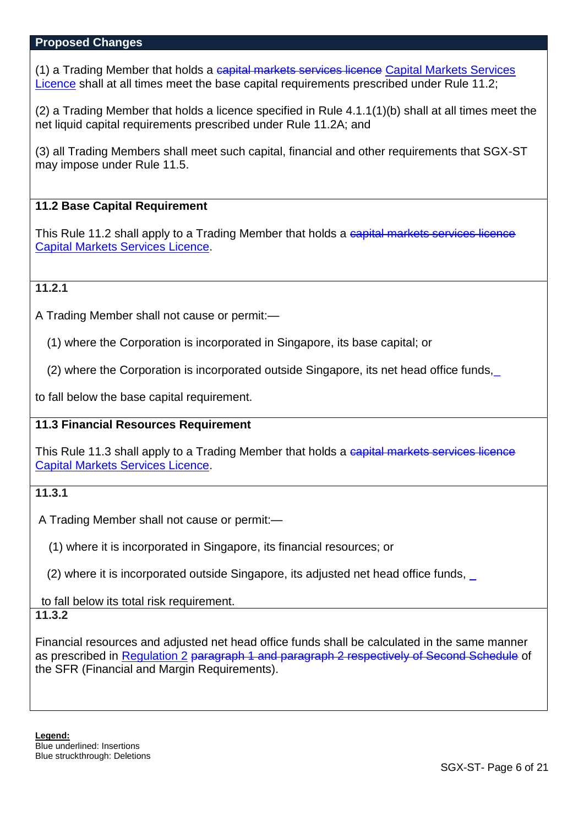(1) a Trading Member that holds a capital markets services licence Capital Markets Services Licence shall at all times meet the base capital requirements prescribed under Rule 11.2;

(2) a Trading Member that holds a licence specified in Rule 4.1.1(1)(b) shall at all times meet the net liquid capital requirements prescribed under Rule 11.2A; and

(3) all Trading Members shall meet such capital, financial and other requirements that SGX-ST may impose under Rule 11.5.

### **11.2 Base Capital Requirement**

This Rule 11.2 shall apply to a Trading Member that holds a capital markets services licence Capital Markets Services Licence.

### **11.2.1**

A Trading Member shall not cause or permit:—

(1) where the Corporation is incorporated in Singapore, its base capital; or

(2) where the Corporation is incorporated outside Singapore, its net head office funds,\_

to fall below the base capital requirement.

## **11.3 Financial Resources Requirement**

This Rule 11.3 shall apply to a Trading Member that holds a capital markets services licence Capital Markets Services Licence.

### **11.3.1**

A Trading Member shall not cause or permit:—

(1) where it is incorporated in Singapore, its financial resources; or

(2) where it is incorporated outside Singapore, its adjusted net head office funds, \_

to fall below its total risk requirement.

# **11.3.2**

Financial resources and adjusted net head office funds shall be calculated in the same manner as prescribed in Regulation 2 paragraph 1 and paragraph 2 respectively of Second Schedule of the SFR (Financial and Margin Requirements).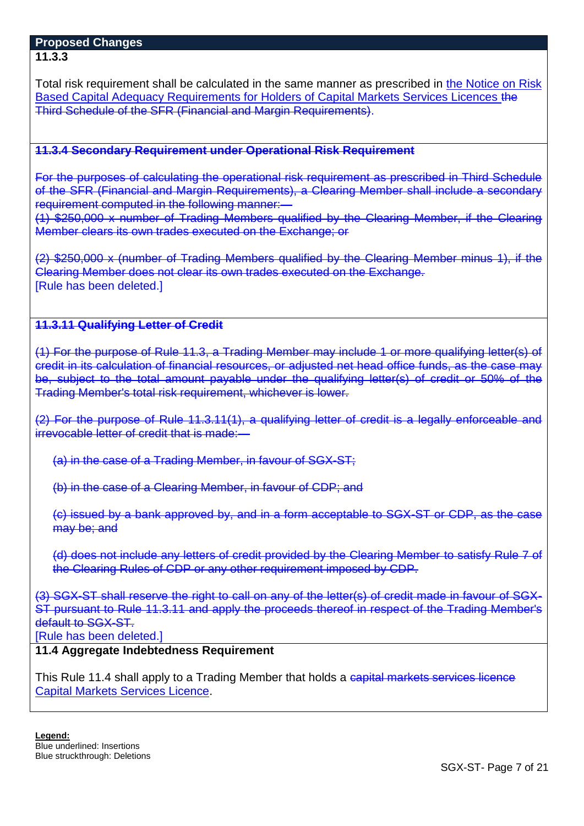#### **Proposed Changes 11.3.3**

Total risk requirement shall be calculated in the same manner as prescribed in the Notice on Risk Based Capital Adequacy Requirements for Holders of Capital Markets Services Licences the Third Schedule of the SFR (Financial and Margin Requirements).

### **11.3.4 Secondary Requirement under Operational Risk Requirement**

For the purposes of calculating the operational risk requirement as prescribed in Third Schedule of the SFR (Financial and Margin Requirements), a Clearing Member shall include a secondary requirement computed in the following manner:-

(1) \$250,000 x number of Trading Members qualified by the Clearing Member, if the Clearing Member clears its own trades executed on the Exchange; or

(2) \$250,000 x (number of Trading Members qualified by the Clearing Member minus 1), if the Clearing Member does not clear its own trades executed on the Exchange. [Rule has been deleted.]

# **11.3.11 Qualifying Letter of Credit**

(1) For the purpose of Rule 11.3, a Trading Member may include 1 or more qualifying letter(s) of credit in its calculation of financial resources, or adjusted net head office funds, as the case may be, subject to the total amount payable under the qualifying letter(s) of credit or 50% of the Trading Member's total risk requirement, whichever is lower.

(2) For the purpose of Rule 11.3.11(1), a qualifying letter of credit is a legally enforceable and irrevocable letter of credit that is made:—

(a) in the case of a Trading Member, in favour of SGX-ST;

(b) in the case of a Clearing Member, in favour of CDP; and

(c) issued by a bank approved by, and in a form acceptable to SGX-ST or CDP, as the case may be; and

(d) does not include any letters of credit provided by the Clearing Member to satisfy Rule 7 of the Clearing Rules of CDP or any other requirement imposed by CDP.

(3) SGX-ST shall reserve the right to call on any of the letter(s) of credit made in favour of SGX-ST pursuant to Rule 11.3.11 and apply the proceeds thereof in respect of the Trading Member's default to SGX-ST.

[Rule has been deleted.]

# **11.4 Aggregate Indebtedness Requirement**

This Rule 11.4 shall apply to a Trading Member that holds a capital markets services licence Capital Markets Services Licence.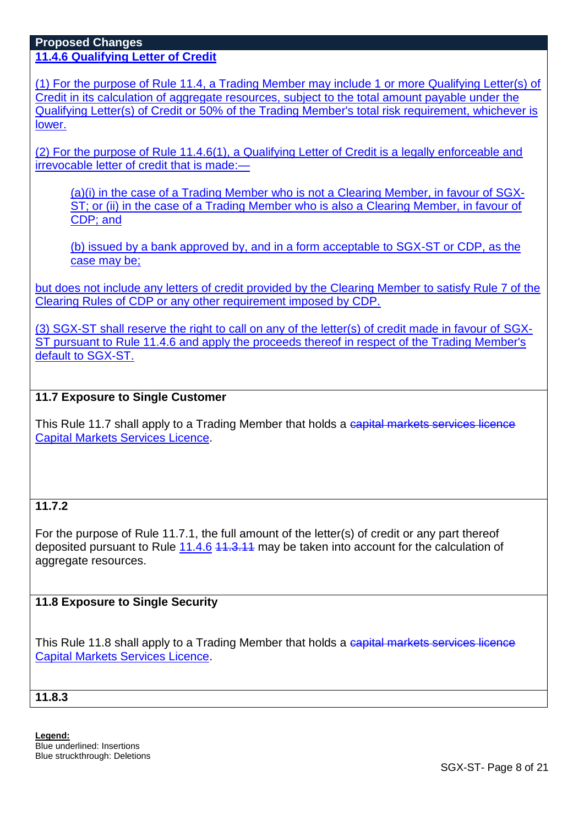**11.4.6 Qualifying Letter of Credit**

(1) For the purpose of Rule 11.4, a Trading Member may include 1 or more Qualifying Letter(s) of Credit in its calculation of aggregate resources, subject to the total amount payable under the Qualifying Letter(s) of Credit or 50% of the Trading Member's total risk requirement, whichever is lower.

(2) For the purpose of Rule 11.4.6(1), a Qualifying Letter of Credit is a legally enforceable and irrevocable letter of credit that is made:—

(a)(i) in the case of a Trading Member who is not a Clearing Member, in favour of SGX-ST; or (ii) in the case of a Trading Member who is also a Clearing Member, in favour of CDP; and

(b) issued by a bank approved by, and in a form acceptable to SGX-ST or CDP, as the case may be;

but does not include any letters of credit provided by the Clearing Member to satisfy Rule 7 of the Clearing Rules of CDP or any other requirement imposed by CDP.

(3) SGX-ST shall reserve the right to call on any of the letter(s) of credit made in favour of SGX-ST pursuant to Rule 11.4.6 and apply the proceeds thereof in respect of the Trading Member's default to SGX-ST.

# **11.7 Exposure to Single Customer**

This Rule 11.7 shall apply to a Trading Member that holds a capital markets services licence Capital Markets Services Licence.

# **11.7.2**

For the purpose of [Rule 11.7.1,](http://rulebook.sgx.com/en/display/en/display/display.html?rbid=3271&element_id=1271) the full amount of the letter(s) of credit or any part thereof deposited pursuant to [Rule 11.4.6](http://rulebook.sgx.com/en/display/en/display/display.html?rbid=3271&element_id=1260) 11.3.11 may be taken into account for the calculation of aggregate resources.

## **11.8 Exposure to Single Security**

This Rule 11.8 shall apply to a Trading Member that holds a capital markets services licence Capital Markets Services Licence.

**11.8.3**

**Legend:**  Blue underlined: Insertions Blue struckthrough: Deletions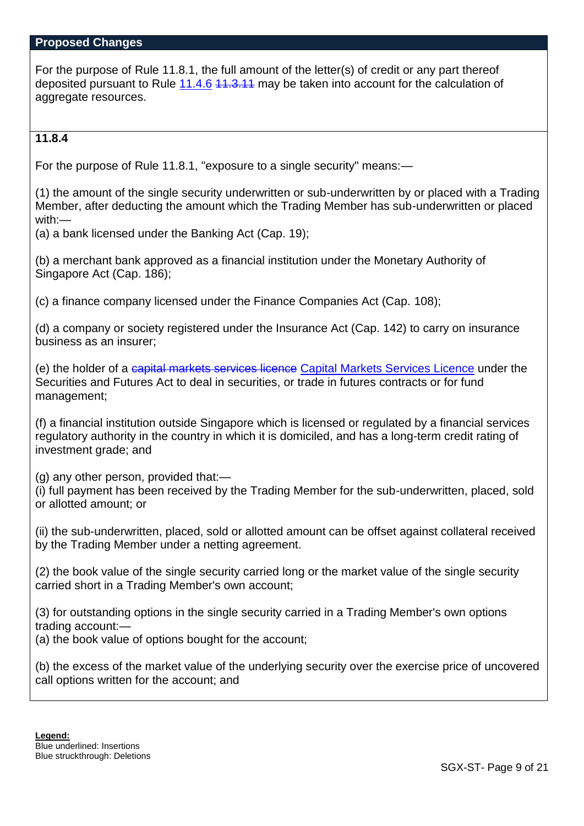For the purpose of [Rule 11.8.1,](http://rulebook.sgx.com/en/display/en/display/display.html?rbid=3271&element_id=1277) the full amount of the letter(s) of credit or any part thereof deposited pursuant to [Rule 11.4.6](http://rulebook.sgx.com/en/display/en/display/display.html?rbid=3271&element_id=1260) 11.3.11 may be taken into account for the calculation of aggregate resources.

## **11.8.4**

For the purpose of Rule 11.8.1, "exposure to a single security" means:—

(1) the amount of the single security underwritten or sub-underwritten by or placed with a Trading Member, after deducting the amount which the Trading Member has sub-underwritten or placed with:—

(a) a bank licensed under the Banking Act (Cap. 19);

(b) a merchant bank approved as a financial institution under the Monetary Authority of Singapore Act (Cap. 186);

(c) a finance company licensed under the Finance Companies Act (Cap. 108);

(d) a company or society registered under the Insurance Act (Cap. 142) to carry on insurance business as an insurer;

(e) the holder of a capital markets services licence Capital Markets Services Licence under the Securities and Futures Act to deal in securities, or trade in futures contracts or for fund management;

(f) a financial institution outside Singapore which is licensed or regulated by a financial services regulatory authority in the country in which it is domiciled, and has a long-term credit rating of investment grade; and

(g) any other person, provided that:—

(i) full payment has been received by the Trading Member for the sub-underwritten, placed, sold or allotted amount; or

(ii) the sub-underwritten, placed, sold or allotted amount can be offset against collateral received by the Trading Member under a netting agreement.

(2) the book value of the single security carried long or the market value of the single security carried short in a Trading Member's own account;

(3) for outstanding options in the single security carried in a Trading Member's own options trading account:—

(a) the book value of options bought for the account;

(b) the excess of the market value of the underlying security over the exercise price of uncovered call options written for the account; and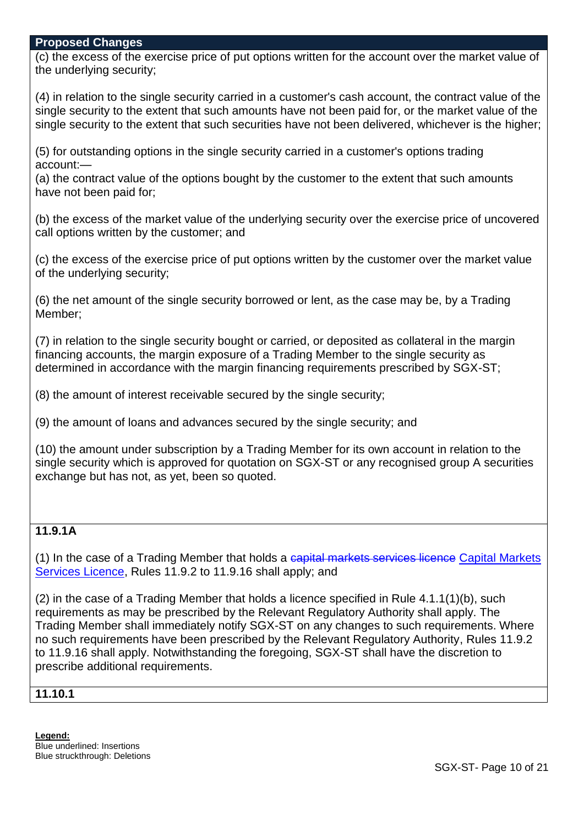(c) the excess of the exercise price of put options written for the account over the market value of the underlying security;

(4) in relation to the single security carried in a customer's cash account, the contract value of the single security to the extent that such amounts have not been paid for, or the market value of the single security to the extent that such securities have not been delivered, whichever is the higher;

(5) for outstanding options in the single security carried in a customer's options trading account:—

(a) the contract value of the options bought by the customer to the extent that such amounts have not been paid for;

(b) the excess of the market value of the underlying security over the exercise price of uncovered call options written by the customer; and

(c) the excess of the exercise price of put options written by the customer over the market value of the underlying security;

(6) the net amount of the single security borrowed or lent, as the case may be, by a Trading Member;

(7) in relation to the single security bought or carried, or deposited as collateral in the margin financing accounts, the margin exposure of a Trading Member to the single security as determined in accordance with the margin financing requirements prescribed by SGX-ST;

(8) the amount of interest receivable secured by the single security;

(9) the amount of loans and advances secured by the single security; and

(10) the amount under subscription by a Trading Member for its own account in relation to the single security which is approved for quotation on SGX-ST or any recognised group A securities exchange but has not, as yet, been so quoted.

## **11.9.1A**

(1) In the case of a Trading Member that holds a capital markets services licence Capital Markets Services Licence, Rules 11.9.2 to 11.9.16 shall apply; and

(2) in the case of a Trading Member that holds a licence specified in Rule 4.1.1(1)(b), such requirements as may be prescribed by the Relevant Regulatory Authority shall apply. The Trading Member shall immediately notify SGX-ST on any changes to such requirements. Where no such requirements have been prescribed by the Relevant Regulatory Authority, Rules 11.9.2 to 11.9.16 shall apply. Notwithstanding the foregoing, SGX-ST shall have the discretion to prescribe additional requirements.

#### **11.10.1**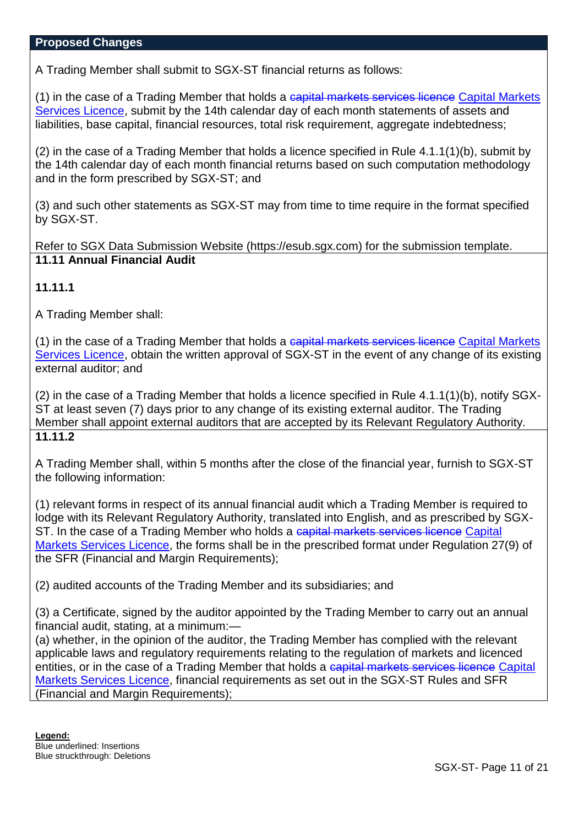A Trading Member shall submit to SGX-ST financial returns as follows:

(1) in the case of a Trading Member that holds a capital markets services licence Capital Markets Services Licence, submit by the 14th calendar day of each month statements of assets and liabilities, base capital, financial resources, total risk requirement, aggregate indebtedness;

(2) in the case of a Trading Member that holds a licence specified in Rule 4.1.1(1)(b), submit by the 14th calendar day of each month financial returns based on such computation methodology and in the form prescribed by SGX-ST; and

(3) and such other statements as SGX-ST may from time to time require in the format specified by SGX-ST.

Refer to SGX Data Submission Website (https://esub.sgx.com) for the submission template. **11.11 Annual Financial Audit**

## **11.11.1**

A Trading Member shall:

(1) in the case of a Trading Member that holds a capital markets services licence Capital Markets Services Licence, obtain the written approval of SGX-ST in the event of any change of its existing external auditor; and

(2) in the case of a Trading Member that holds a licence specified in Rule 4.1.1(1)(b), notify SGX-ST at least seven (7) days prior to any change of its existing external auditor. The Trading Member shall appoint external auditors that are accepted by its Relevant Regulatory Authority. **11.11.2**

A Trading Member shall, within 5 months after the close of the financial year, furnish to SGX-ST the following information:

(1) relevant forms in respect of its annual financial audit which a Trading Member is required to lodge with its Relevant Regulatory Authority, translated into English, and as prescribed by SGX-ST. In the case of a Trading Member who holds a capital markets services licence Capital Markets Services Licence, the forms shall be in the prescribed format under Regulation 27(9) of the SFR (Financial and Margin Requirements);

(2) audited accounts of the Trading Member and its subsidiaries; and

(3) a Certificate, signed by the auditor appointed by the Trading Member to carry out an annual financial audit, stating, at a minimum:—

(a) whether, in the opinion of the auditor, the Trading Member has complied with the relevant applicable laws and regulatory requirements relating to the regulation of markets and licenced entities, or in the case of a Trading Member that holds a capital markets services licence Capital Markets Services Licence, financial requirements as set out in the SGX-ST Rules and SFR (Financial and Margin Requirements);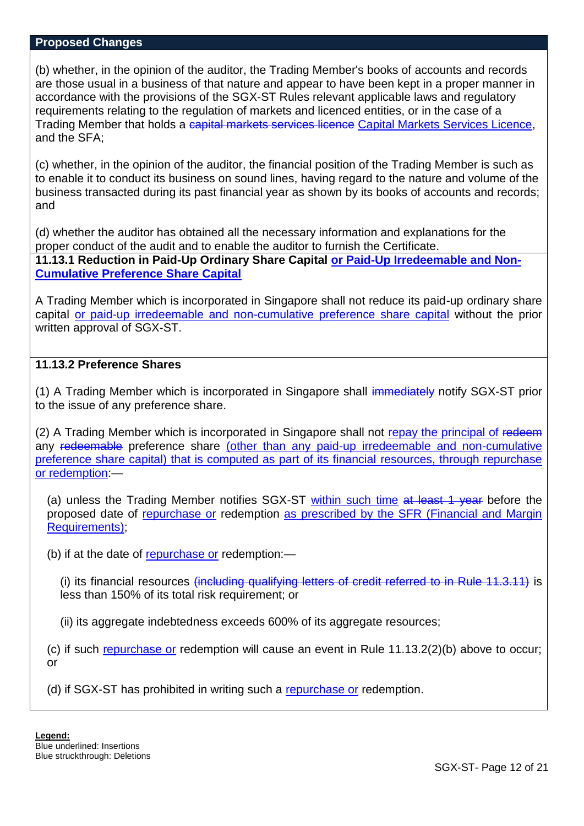(b) whether, in the opinion of the auditor, the Trading Member's books of accounts and records are those usual in a business of that nature and appear to have been kept in a proper manner in accordance with the provisions of the SGX-ST Rules relevant applicable laws and regulatory requirements relating to the regulation of markets and licenced entities, or in the case of a Trading Member that holds a capital markets services licence Capital Markets Services Licence. and the SFA;

(c) whether, in the opinion of the auditor, the financial position of the Trading Member is such as to enable it to conduct its business on sound lines, having regard to the nature and volume of the business transacted during its past financial year as shown by its books of accounts and records; and

(d) whether the auditor has obtained all the necessary information and explanations for the proper conduct of the audit and to enable the auditor to furnish the Certificate. **11.13.1 Reduction in Paid-Up Ordinary Share Capital or Paid-Up Irredeemable and Non-Cumulative Preference Share Capital**

A Trading Member which is incorporated in Singapore shall not reduce its paid-up ordinary share capital or paid-up irredeemable and non-cumulative preference share capital without the prior written approval of SGX-ST.

## **11.13.2 Preference Shares**

(1) A Trading Member which is incorporated in Singapore shall immediately notify SGX-ST prior to the issue of any preference share.

(2) A Trading Member which is incorporated in Singapore shall not repay the principal of redeem any redeemable preference share (other than any paid-up irredeemable and non-cumulative preference share capital) that is computed as part of its financial resources, through repurchase or redemption:—

(a) unless the Trading Member notifies SGX-ST within such time at least 1 year before the proposed date of repurchase or redemption as prescribed by the SFR (Financial and Margin Requirements);

(b) if at the date of repurchase or redemption:—

(i) its financial resources (including qualifying letters of credit referred to in Rule 11.3.11) is less than 150% of its total risk requirement; or

(ii) its aggregate indebtedness exceeds 600% of its aggregate resources;

(c) if such repurchase or redemption will cause an event in Rule 11.13.2(2)(b) above to occur; or

(d) if SGX-ST has prohibited in writing such a repurchase or redemption.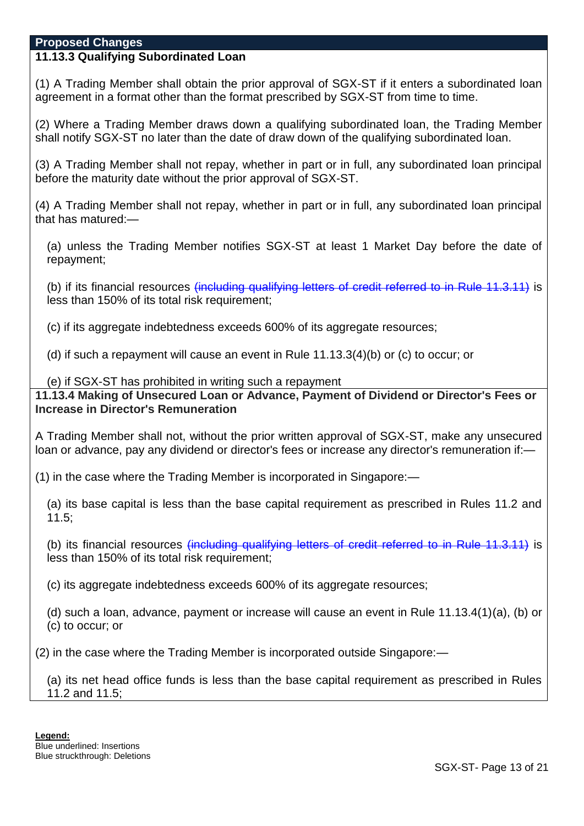# **11.13.3 Qualifying Subordinated Loan**

(1) A Trading Member shall obtain the prior approval of SGX-ST if it enters a subordinated loan agreement in a format other than the format prescribed by SGX-ST from time to time.

(2) Where a Trading Member draws down a qualifying subordinated loan, the Trading Member shall notify SGX-ST no later than the date of draw down of the qualifying subordinated loan.

(3) A Trading Member shall not repay, whether in part or in full, any subordinated loan principal before the maturity date without the prior approval of SGX-ST.

(4) A Trading Member shall not repay, whether in part or in full, any subordinated loan principal that has matured:—

(a) unless the Trading Member notifies SGX-ST at least 1 Market Day before the date of repayment;

(b) if its financial resources <del>(including qualifying letters of credit referred to in Rule 11.3.11)</del> is less than 150% of its total risk requirement;

(c) if its aggregate indebtedness exceeds 600% of its aggregate resources;

(d) if such a repayment will cause an event in Rule 11.13.3(4)(b) or (c) to occur; or

(e) if SGX-ST has prohibited in writing such a repayment

**11.13.4 Making of Unsecured Loan or Advance, Payment of Dividend or Director's Fees or Increase in Director's Remuneration**

A Trading Member shall not, without the prior written approval of SGX-ST, make any unsecured loan or advance, pay any dividend or director's fees or increase any director's remuneration if:—

(1) in the case where the Trading Member is incorporated in Singapore:—

(a) its base capital is less than the base capital requirement as prescribed in Rules 11.2 and 11.5;

(b) its financial resources (including qualifying letters of credit referred to in Rule 11.3.11) is less than 150% of its total risk requirement;

(c) its aggregate indebtedness exceeds 600% of its aggregate resources;

(d) such a loan, advance, payment or increase will cause an event in Rule 11.13.4(1)(a), (b) or (c) to occur; or

(2) in the case where the Trading Member is incorporated outside Singapore:—

(a) its net head office funds is less than the base capital requirement as prescribed in Rules 11.2 and 11.5;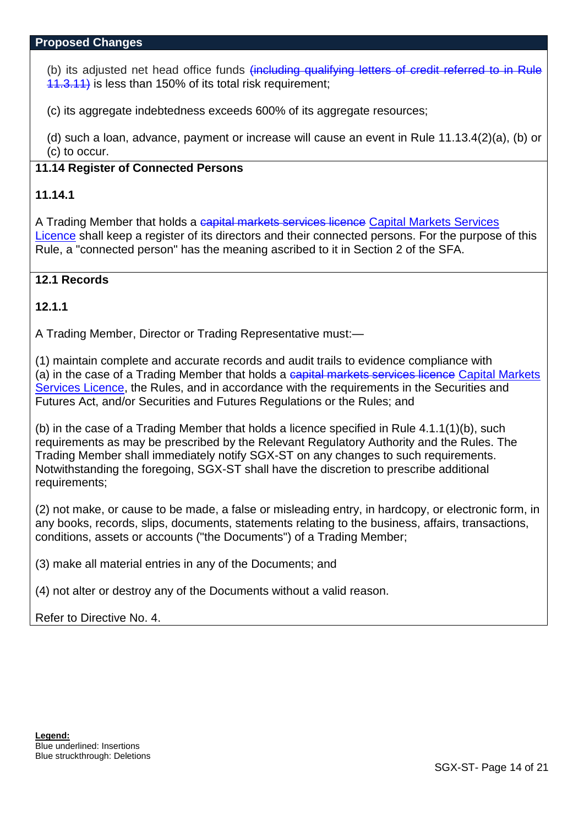(b) its adjusted net head office funds (including qualifying letters of credit referred to in Rule 11.3.11) is less than 150% of its total risk requirement;

(c) its aggregate indebtedness exceeds 600% of its aggregate resources;

(d) such a loan, advance, payment or increase will cause an event in Rule 11.13.4(2)(a), (b) or (c) to occur.

## **11.14 Register of Connected Persons**

## **11.14.1**

A Trading Member that holds a capital markets services licence Capital Markets Services Licence shall keep a register of its directors and their connected persons. For the purpose of this Rule, a "connected person" has the meaning ascribed to it in Section 2 of the SFA.

# **12.1 Records**

# **12.1.1**

A Trading Member, Director or Trading Representative must:—

(1) maintain complete and accurate records and audit trails to evidence compliance with (a) in the case of a Trading Member that holds a capital markets services licence Capital Markets Services Licence, the Rules, and in accordance with the requirements in the Securities and Futures Act, and/or Securities and Futures Regulations or the Rules; and

(b) in the case of a Trading Member that holds a licence specified in Rule 4.1.1(1)(b), such requirements as may be prescribed by the Relevant Regulatory Authority and the Rules. The Trading Member shall immediately notify SGX-ST on any changes to such requirements. Notwithstanding the foregoing, SGX-ST shall have the discretion to prescribe additional requirements;

(2) not make, or cause to be made, a false or misleading entry, in hardcopy, or electronic form, in any books, records, slips, documents, statements relating to the business, affairs, transactions, conditions, assets or accounts ("the Documents") of a Trading Member;

(3) make all material entries in any of the Documents; and

(4) not alter or destroy any of the Documents without a valid reason.

## Refer to Directive No. 4.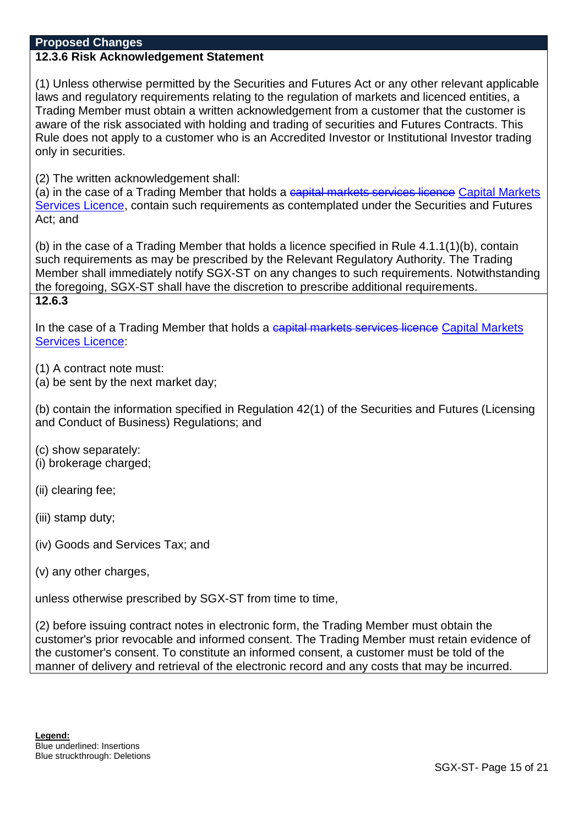# **12.3.6 Risk Acknowledgement Statement**

(1) Unless otherwise permitted by the Securities and Futures Act or any other relevant applicable laws and regulatory requirements relating to the regulation of markets and licenced entities, a Trading Member must obtain a written acknowledgement from a customer that the customer is aware of the risk associated with holding and trading of securities and Futures Contracts. This Rule does not apply to a customer who is an Accredited Investor or Institutional Investor trading only in securities.

(2) The written acknowledgement shall:

(a) in the case of a Trading Member that holds a capital markets services licence Capital Markets Services Licence, contain such requirements as contemplated under the Securities and Futures Act; and

(b) in the case of a Trading Member that holds a licence specified in Rule 4.1.1(1)(b), contain such requirements as may be prescribed by the Relevant Regulatory Authority. The Trading Member shall immediately notify SGX-ST on any changes to such requirements. Notwithstanding the foregoing, SGX-ST shall have the discretion to prescribe additional requirements. **12.6.3**

In the case of a Trading Member that holds a capital markets services licence Capital Markets Services Licence:

(1) A contract note must:

(a) be sent by the next market day;

(b) contain the information specified in Regulation 42(1) of the Securities and Futures (Licensing and Conduct of Business) Regulations; and

(c) show separately: (i) brokerage charged;

(ii) clearing fee;

(iii) stamp duty;

- (iv) Goods and Services Tax; and
- (v) any other charges,

unless otherwise prescribed by SGX-ST from time to time,

(2) before issuing contract notes in electronic form, the Trading Member must obtain the customer's prior revocable and informed consent. The Trading Member must retain evidence of the customer's consent. To constitute an informed consent, a customer must be told of the manner of delivery and retrieval of the electronic record and any costs that may be incurred.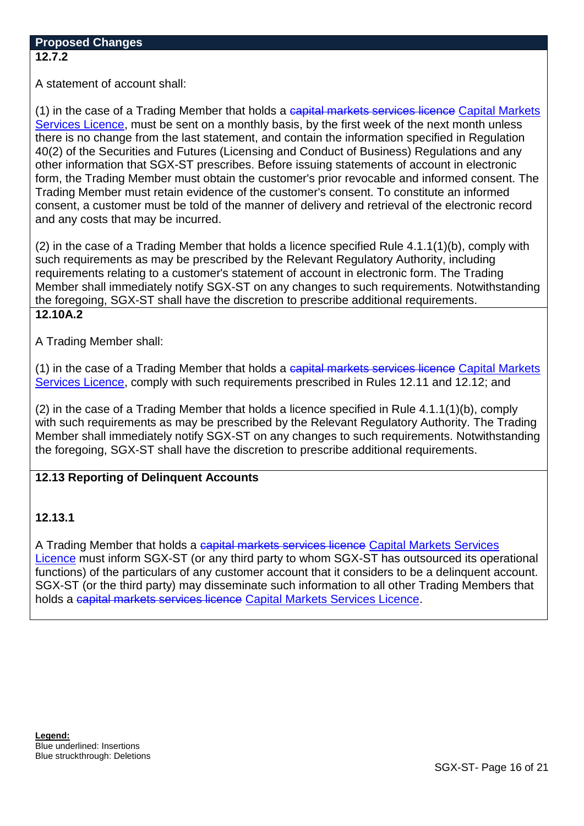A statement of account shall:

(1) in the case of a Trading Member that holds a capital markets services licence Capital Markets Services Licence, must be sent on a monthly basis, by the first week of the next month unless there is no change from the last statement, and contain the information specified in Regulation 40(2) of the Securities and Futures (Licensing and Conduct of Business) Regulations and any other information that SGX-ST prescribes. Before issuing statements of account in electronic form, the Trading Member must obtain the customer's prior revocable and informed consent. The Trading Member must retain evidence of the customer's consent. To constitute an informed consent, a customer must be told of the manner of delivery and retrieval of the electronic record and any costs that may be incurred.

(2) in the case of a Trading Member that holds a licence specified Rule 4.1.1(1)(b), comply with such requirements as may be prescribed by the Relevant Regulatory Authority, including requirements relating to a customer's statement of account in electronic form. The Trading Member shall immediately notify SGX-ST on any changes to such requirements. Notwithstanding the foregoing, SGX-ST shall have the discretion to prescribe additional requirements. **12.10A.2**

A Trading Member shall:

(1) in the case of a Trading Member that holds a capital markets services licence Capital Markets Services Licence, comply with such requirements prescribed in Rules 12.11 and 12.12; and

(2) in the case of a Trading Member that holds a licence specified in Rule 4.1.1(1)(b), comply with such requirements as may be prescribed by the Relevant Regulatory Authority. The Trading Member shall immediately notify SGX-ST on any changes to such requirements. Notwithstanding the foregoing, SGX-ST shall have the discretion to prescribe additional requirements.

# **12.13 Reporting of Delinquent Accounts**

## **12.13.1**

A Trading Member that holds a capital markets services licence Capital Markets Services Licence must inform SGX-ST (or any third party to whom SGX-ST has outsourced its operational functions) of the particulars of any customer account that it considers to be a delinquent account. SGX-ST (or the third party) may disseminate such information to all other Trading Members that holds a capital markets services licence Capital Markets Services Licence.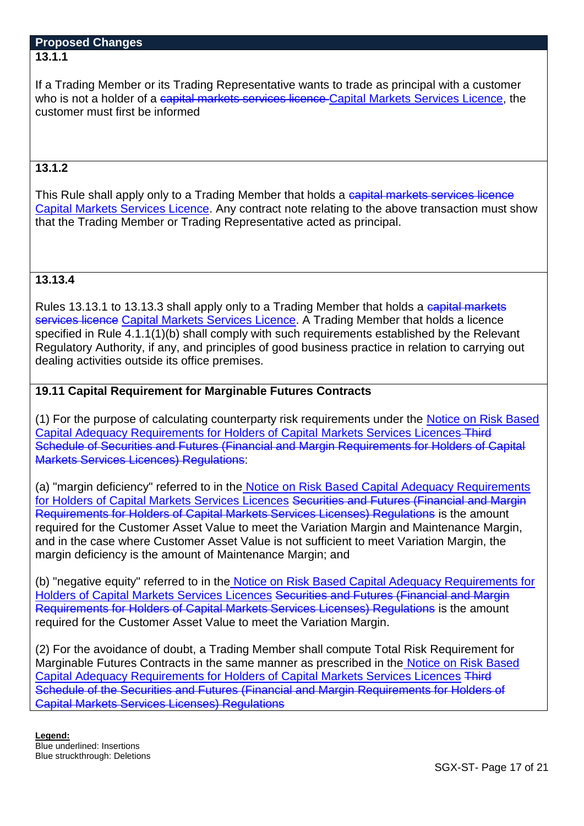If a Trading Member or its Trading Representative wants to trade as principal with a customer who is not a holder of a capital markets services licence Capital Markets Services Licence, the customer must first be informed

# **13.1.2**

This Rule shall apply only to a Trading Member that holds a capital markets services licence Capital Markets Services Licence. Any contract note relating to the above transaction must show that the Trading Member or Trading Representative acted as principal.

# **13.13.4**

Rules 13.13.1 to 13.13.3 shall apply only to a Trading Member that holds a capital markets services licence Capital Markets Services Licence. A Trading Member that holds a licence specified in Rule 4.1.1(1)(b) shall comply with such requirements established by the Relevant Regulatory Authority, if any, and principles of good business practice in relation to carrying out dealing activities outside its office premises.

# **19.11 Capital Requirement for Marginable Futures Contracts**

(1) For the purpose of calculating counterparty risk requirements under the Notice on Risk Based Capital Adequacy Requirements for Holders of Capital Markets Services Licences Third Schedule of Securities and Futures (Financial and Margin Requirements for Holders of Capital Markets Services Licences) Regulations:

(a) "margin deficiency" referred to in the Notice on Risk Based Capital Adequacy Requirements for Holders of Capital Markets Services Licences Securities and Futures (Financial and Margin Requirements for Holders of Capital Markets Services Licenses) Regulations is the amount required for the Customer Asset Value to meet the Variation Margin and Maintenance Margin, and in the case where Customer Asset Value is not sufficient to meet Variation Margin, the margin deficiency is the amount of Maintenance Margin; and

(b) "negative equity" referred to in the Notice on Risk Based Capital Adequacy Requirements for Holders of Capital Markets Services Licences Securities and Futures (Financial and Margin Requirements for Holders of Capital Markets Services Licenses) Regulations is the amount required for the Customer Asset Value to meet the Variation Margin.

(2) For the avoidance of doubt, a Trading Member shall compute Total Risk Requirement for Marginable Futures Contracts in the same manner as prescribed in the Notice on Risk Based Capital Adequacy Requirements for Holders of Capital Markets Services Licences Third Schedule of the Securities and Futures (Financial and Margin Requirements for Holders of Capital Markets Services Licenses) Regulations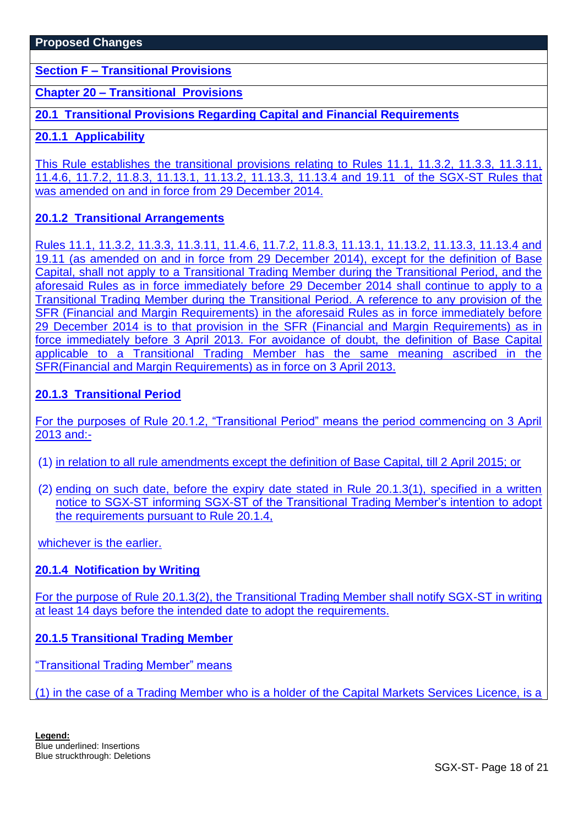**Section F – Transitional Provisions**

**Chapter 20 – Transitional Provisions**

**20.1 Transitional Provisions Regarding Capital and Financial Requirements**

## **20.1.1 Applicability**

This Rule establishes the transitional provisions relating to Rules 11.1, 11.3.2, 11.3.3, 11.3.11, 11.4.6, 11.7.2, 11.8.3, 11.13.1, 11.13.2, 11.13.3, 11.13.4 and 19.11 of the SGX-ST Rules that was amended on and in force from 29 December 2014.

# **20.1.2 Transitional Arrangements**

Rules 11.1, 11.3.2, 11.3.3, 11.3.11, 11.4.6, 11.7.2, 11.8.3, 11.13.1, 11.13.2, 11.13.3, 11.13.4 and 19.11 (as amended on and in force from 29 December 2014), except for the definition of Base Capital, shall not apply to a Transitional Trading Member during the Transitional Period, and the aforesaid Rules as in force immediately before 29 December 2014 shall continue to apply to a Transitional Trading Member during the Transitional Period. A reference to any provision of the SFR (Financial and Margin Requirements) in the aforesaid Rules as in force immediately before 29 December 2014 is to that provision in the SFR (Financial and Margin Requirements) as in force immediately before 3 April 2013. For avoidance of doubt, the definition of Base Capital applicable to a Transitional Trading Member has the same meaning ascribed in the SFR(Financial and Margin Requirements) as in force on 3 April 2013.

# **20.1.3 Transitional Period**

For the purposes of Rule 20.1.2, "Transitional Period" means the period commencing on 3 April 2013 and:-

- (1) in relation to all rule amendments except the definition of Base Capital, till 2 April 2015; or
- (2) ending on such date, before the expiry date stated in Rule 20.1.3(1), specified in a written notice to SGX-ST informing SGX-ST of the Transitional Trading Member's intention to adopt the requirements pursuant to Rule 20.1.4,

whichever is the earlier.

## **20.1.4 Notification by Writing**

For the purpose of Rule 20.1.3(2), the Transitional Trading Member shall notify SGX-ST in writing at least 14 days before the intended date to adopt the requirements.

## **20.1.5 Transitional Trading Member**

"Transitional Trading Member" means

(1) in the case of a Trading Member who is a holder of the Capital Markets Services Licence, is a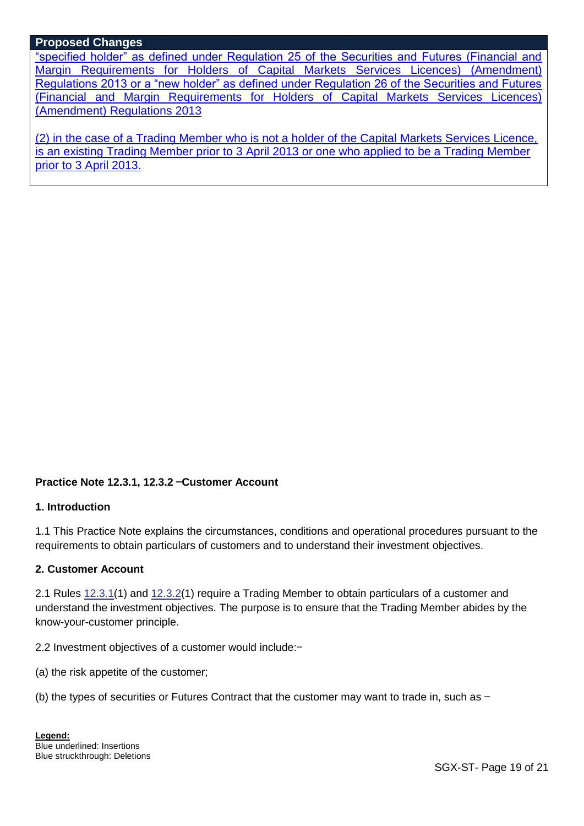"specified holder" as defined under Regulation 25 of the Securities and Futures (Financial and Margin Requirements for Holders of Capital Markets Services Licences) (Amendment) Regulations 2013 or a "new holder" as defined under Regulation 26 of the Securities and Futures (Financial and Margin Requirements for Holders of Capital Markets Services Licences) (Amendment) Regulations 2013

(2) in the case of a Trading Member who is not a holder of the Capital Markets Services Licence, is an existing Trading Member prior to 3 April 2013 or one who applied to be a Trading Member prior to 3 April 2013.

## **Practice Note 12.3.1, 12.3.2** —**Customer Account**

#### **1. Introduction**

1.1 This Practice Note explains the circumstances, conditions and operational procedures pursuant to the requirements to obtain particulars of customers and to understand their investment objectives.

#### **2. Customer Account**

2.1 Rules [12.3.1\(](http://rulebook.sgx.com/en/display/en/display/display.html?rbid=3271&element_id=1333)1) and [12.3.2\(](http://rulebook.sgx.com/en/display/en/display/display.html?rbid=3271&element_id=1334)1) require a Trading Member to obtain particulars of a customer and understand the investment objectives. The purpose is to ensure that the Trading Member abides by the know-your-customer principle.

2.2 Investment objectives of a customer would include:—

- (a) the risk appetite of the customer;
- (b) the types of securities or Futures Contract that the customer may want to trade in, such as  $-$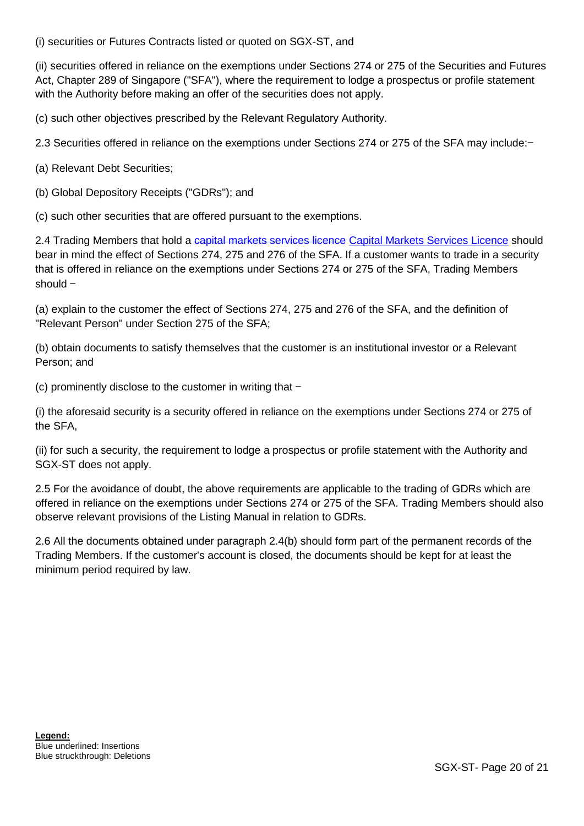(i) securities or Futures Contracts listed or quoted on SGX-ST, and

(ii) securities offered in reliance on the exemptions under Sections 274 or 275 of the Securities and Futures Act, Chapter 289 of Singapore ("SFA"), where the requirement to lodge a prospectus or profile statement with the Authority before making an offer of the securities does not apply.

(c) such other objectives prescribed by the Relevant Regulatory Authority.

2.3 Securities offered in reliance on the exemptions under Sections 274 or 275 of the SFA may include:—

- (a) Relevant Debt Securities;
- (b) Global Depository Receipts ("GDRs"); and
- (c) such other securities that are offered pursuant to the exemptions.

2.4 Trading Members that hold a capital markets services licence Capital Markets Services Licence should bear in mind the effect of Sections 274, 275 and 276 of the SFA. If a customer wants to trade in a security that is offered in reliance on the exemptions under Sections 274 or 275 of the SFA, Trading Members should —

(a) explain to the customer the effect of Sections 274, 275 and 276 of the SFA, and the definition of "Relevant Person" under Section 275 of the SFA;

(b) obtain documents to satisfy themselves that the customer is an institutional investor or a Relevant Person; and

(c) prominently disclose to the customer in writing that  $-$ 

(i) the aforesaid security is a security offered in reliance on the exemptions under Sections 274 or 275 of the SFA,

(ii) for such a security, the requirement to lodge a prospectus or profile statement with the Authority and SGX-ST does not apply.

2.5 For the avoidance of doubt, the above requirements are applicable to the trading of GDRs which are offered in reliance on the exemptions under Sections 274 or 275 of the SFA. Trading Members should also observe relevant provisions of the Listing Manual in relation to GDRs.

2.6 All the documents obtained under paragraph 2.4(b) should form part of the permanent records of the Trading Members. If the customer's account is closed, the documents should be kept for at least the minimum period required by law.